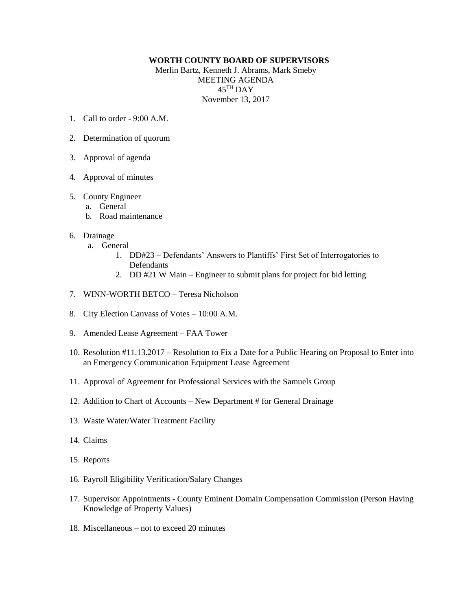## **WORTH COUNTY BOARD OF SUPERVISORS**

Merlin Bartz, Kenneth J. Abrams, Mark Smeby MEETING AGENDA  $45^{\mathrm{TH}}$  DAY November 13, 2017

- 1. Call to order 9:00 A.M.
- 2. Determination of quorum
- 3. Approval of agenda
- 4. Approval of minutes

## 5. County Engineer

- a. General
- b. Road maintenance

## 6. Drainage

- a. General
	- 1. DD#23 Defendants' Answers to Plantiffs' First Set of Interrogatories to Defendants
	- 2. DD #21 W Main Engineer to submit plans for project for bid letting
- 7. WINN-WORTH BETCO Teresa Nicholson
- 8. City Election Canvass of Votes 10:00 A.M.
- 9. Amended Lease Agreement FAA Tower
- 10. Resolution #11.13.2017 Resolution to Fix a Date for a Public Hearing on Proposal to Enter into an Emergency Communication Equipment Lease Agreement
- 11. Approval of Agreement for Professional Services with the Samuels Group
- 12. Addition to Chart of Accounts New Department # for General Drainage
- 13. Waste Water/Water Treatment Facility
- 14. Claims
- 15. Reports
- 16. Payroll Eligibility Verification/Salary Changes
- 17. Supervisor Appointments County Eminent Domain Compensation Commission (Person Having Knowledge of Property Values)
- 18. Miscellaneous not to exceed 20 minutes